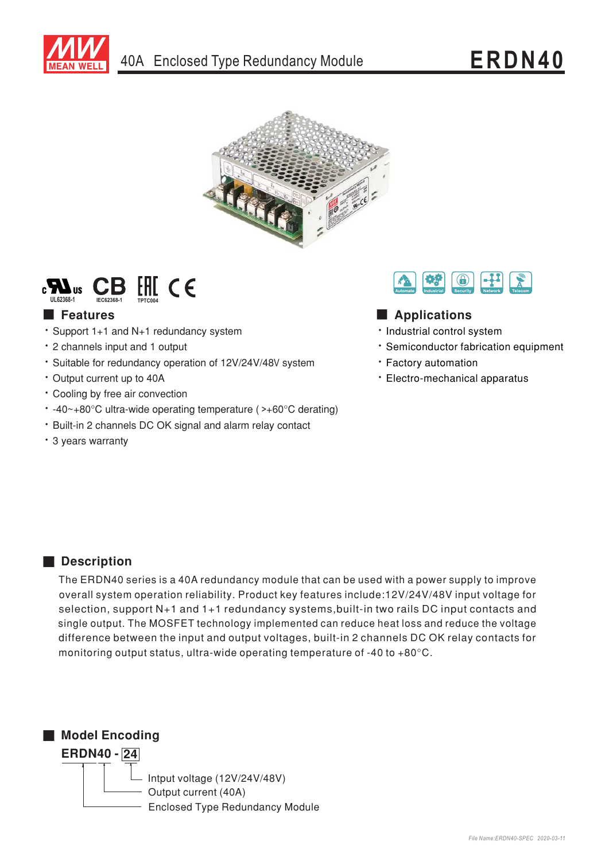





# **Execution** Features

- \* Support 1+1 and N+1 redundancy system
- \* 2 channels input and 1 output
- · Suitable for redundancy operation of 12V/24V/48V system
- Output current up to 40A
- Cooling by free air convection
- $\cdot$  -40~+80°C ultra-wide operating temperature (>+60°C derating)
- \* Built-in 2 channels DC OK signal and alarm relay contact
- \* 3 years warranty



## Applications

- · Industrial control system
- \* Semiconductor fabrication equipment
- · Factory automation
- Electro-mechanical apparatus

## Description

The ERDN40 series is a 40A redundancy module that can be used with a power supply to improve overall system operation reliability. Product key features include:12V/24V/48V input voltage for selection, support N+1 and 1+1 redundancy systems, built-in two rails DC input contacts and single output. The MOSFET technology implemented can reduce heat loss and reduce the voltage difference between the input and output voltages, built-in 2 channels DC OK relay contacts for monitoring output status, ultra-wide operating temperature of -40 to +80 $^{\circ}$ C.

Model Encoding



Intput voltage (12V/24V/48V) Output current (40A) **Enclosed Type Redundancy Module**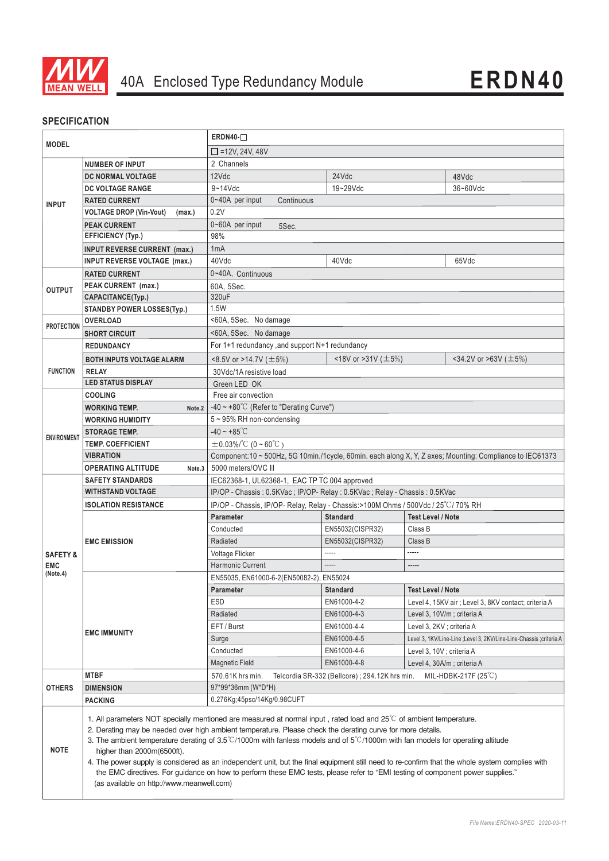

## **SPECIFICATION**

| <b>MODEL</b><br><b>NUMBER OF INPUT</b> |                                                                                                                                                                                                                                                                                                                                                                                                                                                                                                                                                                                                                                                                                                                                                                                    | $ERDN40-$                                                                                                |                                                                           |                  |                            |                                                                      |  |  |
|----------------------------------------|------------------------------------------------------------------------------------------------------------------------------------------------------------------------------------------------------------------------------------------------------------------------------------------------------------------------------------------------------------------------------------------------------------------------------------------------------------------------------------------------------------------------------------------------------------------------------------------------------------------------------------------------------------------------------------------------------------------------------------------------------------------------------------|----------------------------------------------------------------------------------------------------------|---------------------------------------------------------------------------|------------------|----------------------------|----------------------------------------------------------------------|--|--|
|                                        |                                                                                                                                                                                                                                                                                                                                                                                                                                                                                                                                                                                                                                                                                                                                                                                    | $\Box$ =12V, 24V, 48V                                                                                    |                                                                           |                  |                            |                                                                      |  |  |
|                                        |                                                                                                                                                                                                                                                                                                                                                                                                                                                                                                                                                                                                                                                                                                                                                                                    | 2 Channels                                                                                               |                                                                           |                  |                            |                                                                      |  |  |
| <b>INPUT</b>                           | DC NORMAL VOLTAGE                                                                                                                                                                                                                                                                                                                                                                                                                                                                                                                                                                                                                                                                                                                                                                  | 12Vdc                                                                                                    |                                                                           | 24Vdc            |                            | 48Vdc                                                                |  |  |
|                                        | <b>DC VOLTAGE RANGE</b>                                                                                                                                                                                                                                                                                                                                                                                                                                                                                                                                                                                                                                                                                                                                                            | $9 - 14$ Vdc                                                                                             |                                                                           | 19~29Vdc         |                            | 36~60Vdc                                                             |  |  |
|                                        | <b>RATED CURRENT</b>                                                                                                                                                                                                                                                                                                                                                                                                                                                                                                                                                                                                                                                                                                                                                               | 0~40A per input                                                                                          | Continuous                                                                |                  |                            |                                                                      |  |  |
|                                        | <b>VOLTAGE DROP (Vin-Vout)</b><br>(max.)                                                                                                                                                                                                                                                                                                                                                                                                                                                                                                                                                                                                                                                                                                                                           | 0.2V                                                                                                     |                                                                           |                  |                            |                                                                      |  |  |
|                                        | <b>PEAK CURRENT</b>                                                                                                                                                                                                                                                                                                                                                                                                                                                                                                                                                                                                                                                                                                                                                                | 0~60A per input<br>5Sec.                                                                                 |                                                                           |                  |                            |                                                                      |  |  |
|                                        | <b>EFFICIENCY (Typ.)</b>                                                                                                                                                                                                                                                                                                                                                                                                                                                                                                                                                                                                                                                                                                                                                           | 98%                                                                                                      |                                                                           |                  |                            |                                                                      |  |  |
|                                        | <b>INPUT REVERSE CURRENT (max.)</b>                                                                                                                                                                                                                                                                                                                                                                                                                                                                                                                                                                                                                                                                                                                                                | 1 <sub>m</sub> A                                                                                         |                                                                           |                  |                            |                                                                      |  |  |
|                                        | <b>INPUT REVERSE VOLTAGE (max.)</b>                                                                                                                                                                                                                                                                                                                                                                                                                                                                                                                                                                                                                                                                                                                                                | 40Vdc<br>40Vdc                                                                                           |                                                                           |                  |                            | 65Vdc                                                                |  |  |
|                                        | <b>RATED CURRENT</b>                                                                                                                                                                                                                                                                                                                                                                                                                                                                                                                                                                                                                                                                                                                                                               | 0~40A, Continuous                                                                                        |                                                                           |                  |                            |                                                                      |  |  |
| <b>OUTPUT</b>                          | PEAK CURRENT (max.)                                                                                                                                                                                                                                                                                                                                                                                                                                                                                                                                                                                                                                                                                                                                                                | 60A, 5Sec.                                                                                               |                                                                           |                  |                            |                                                                      |  |  |
|                                        | CAPACITANCE(Typ.)                                                                                                                                                                                                                                                                                                                                                                                                                                                                                                                                                                                                                                                                                                                                                                  | 320uF                                                                                                    |                                                                           |                  |                            |                                                                      |  |  |
|                                        | <b>STANDBY POWER LOSSES(Typ.)</b>                                                                                                                                                                                                                                                                                                                                                                                                                                                                                                                                                                                                                                                                                                                                                  | 1.5W                                                                                                     |                                                                           |                  |                            |                                                                      |  |  |
| <b>PROTECTION</b>                      | <b>OVERLOAD</b>                                                                                                                                                                                                                                                                                                                                                                                                                                                                                                                                                                                                                                                                                                                                                                    | <60A, 5Sec. No damage                                                                                    |                                                                           |                  |                            |                                                                      |  |  |
|                                        | <b>SHORT CIRCUIT</b>                                                                                                                                                                                                                                                                                                                                                                                                                                                                                                                                                                                                                                                                                                                                                               | <60A, 5Sec. No damage                                                                                    |                                                                           |                  |                            |                                                                      |  |  |
|                                        | <b>REDUNDANCY</b>                                                                                                                                                                                                                                                                                                                                                                                                                                                                                                                                                                                                                                                                                                                                                                  | For 1+1 redundancy, and support N+1 redundancy                                                           |                                                                           |                  |                            |                                                                      |  |  |
|                                        | <b>BOTH INPUTS VOLTAGE ALARM</b>                                                                                                                                                                                                                                                                                                                                                                                                                                                                                                                                                                                                                                                                                                                                                   | <18V or >31V ( $\pm$ 5%)<br><34.2V or >63V ( $\pm$ 5%)<br><8.5V or >14.7V ( $\pm$ 5%)                    |                                                                           |                  |                            |                                                                      |  |  |
| <b>FUNCTION</b>                        | <b>RELAY</b>                                                                                                                                                                                                                                                                                                                                                                                                                                                                                                                                                                                                                                                                                                                                                                       | 30Vdc/1A resistive load                                                                                  |                                                                           |                  |                            |                                                                      |  |  |
|                                        | <b>LED STATUS DISPLAY</b>                                                                                                                                                                                                                                                                                                                                                                                                                                                                                                                                                                                                                                                                                                                                                          | Green LED OK                                                                                             |                                                                           |                  |                            |                                                                      |  |  |
|                                        | <b>COOLING</b>                                                                                                                                                                                                                                                                                                                                                                                                                                                                                                                                                                                                                                                                                                                                                                     | Free air convection                                                                                      |                                                                           |                  |                            |                                                                      |  |  |
|                                        | <b>WORKING TEMP.</b><br>Note.2                                                                                                                                                                                                                                                                                                                                                                                                                                                                                                                                                                                                                                                                                                                                                     | -40 ~ +80°C (Refer to "Derating Curve")                                                                  |                                                                           |                  |                            |                                                                      |  |  |
|                                        | <b>WORKING HUMIDITY</b>                                                                                                                                                                                                                                                                                                                                                                                                                                                                                                                                                                                                                                                                                                                                                            | 5~95% RH non-condensing                                                                                  |                                                                           |                  |                            |                                                                      |  |  |
| <b>ENVIRONMENT</b>                     | <b>STORAGE TEMP.</b>                                                                                                                                                                                                                                                                                                                                                                                                                                                                                                                                                                                                                                                                                                                                                               | $-40 - +85^{\circ}C$                                                                                     |                                                                           |                  |                            |                                                                      |  |  |
|                                        | <b>TEMP. COEFFICIENT</b>                                                                                                                                                                                                                                                                                                                                                                                                                                                                                                                                                                                                                                                                                                                                                           | $\pm$ 0.03%/°C (0 ~ 60°C)                                                                                |                                                                           |                  |                            |                                                                      |  |  |
|                                        | VIBRATION                                                                                                                                                                                                                                                                                                                                                                                                                                                                                                                                                                                                                                                                                                                                                                          | Component:10 ~ 500Hz, 5G 10min./1cycle, 60min. each along X, Y, Z axes; Mounting: Compliance to IEC61373 |                                                                           |                  |                            |                                                                      |  |  |
|                                        | <b>OPERATING ALTITUDE</b><br>Note.3                                                                                                                                                                                                                                                                                                                                                                                                                                                                                                                                                                                                                                                                                                                                                | 5000 meters/OVC II                                                                                       |                                                                           |                  |                            |                                                                      |  |  |
|                                        | <b>SAFETY STANDARDS</b>                                                                                                                                                                                                                                                                                                                                                                                                                                                                                                                                                                                                                                                                                                                                                            | IEC62368-1, UL62368-1, EAC TP TC 004 approved                                                            |                                                                           |                  |                            |                                                                      |  |  |
|                                        | WITHSTAND VOLTAGE                                                                                                                                                                                                                                                                                                                                                                                                                                                                                                                                                                                                                                                                                                                                                                  |                                                                                                          | IP/OP - Chassis: 0.5KVac; IP/OP- Relay: 0.5KVac; Relay - Chassis: 0.5KVac |                  |                            |                                                                      |  |  |
|                                        | <b>ISOLATION RESISTANCE</b>                                                                                                                                                                                                                                                                                                                                                                                                                                                                                                                                                                                                                                                                                                                                                        | IP/OP - Chassis, IP/OP- Relay, Relay - Chassis: > 100M Ohms / 500Vdc / 25°C/70% RH                       |                                                                           |                  |                            |                                                                      |  |  |
|                                        |                                                                                                                                                                                                                                                                                                                                                                                                                                                                                                                                                                                                                                                                                                                                                                                    | <b>Parameter</b>                                                                                         |                                                                           | <b>Standard</b>  | <b>Test Level / Note</b>   |                                                                      |  |  |
|                                        |                                                                                                                                                                                                                                                                                                                                                                                                                                                                                                                                                                                                                                                                                                                                                                                    | Conducted                                                                                                |                                                                           | EN55032(CISPR32) | Class B                    |                                                                      |  |  |
|                                        | <b>EMC EMISSION</b>                                                                                                                                                                                                                                                                                                                                                                                                                                                                                                                                                                                                                                                                                                                                                                | Radiated                                                                                                 |                                                                           | EN55032(CISPR32) | Class B                    |                                                                      |  |  |
| <b>SAFETY &amp;</b>                    |                                                                                                                                                                                                                                                                                                                                                                                                                                                                                                                                                                                                                                                                                                                                                                                    | Voltage Flicker                                                                                          |                                                                           | -----            | -----                      |                                                                      |  |  |
| <b>EMC</b><br>(Note.4)                 |                                                                                                                                                                                                                                                                                                                                                                                                                                                                                                                                                                                                                                                                                                                                                                                    | <b>Harmonic Current</b>                                                                                  |                                                                           |                  |                            |                                                                      |  |  |
|                                        | <b>EMC IMMUNITY</b>                                                                                                                                                                                                                                                                                                                                                                                                                                                                                                                                                                                                                                                                                                                                                                | EN55035, EN61000-6-2(EN50082-2), EN55024                                                                 |                                                                           |                  |                            |                                                                      |  |  |
|                                        |                                                                                                                                                                                                                                                                                                                                                                                                                                                                                                                                                                                                                                                                                                                                                                                    | Parameter                                                                                                |                                                                           | Standard         | <b>Test Level / Note</b>   |                                                                      |  |  |
|                                        |                                                                                                                                                                                                                                                                                                                                                                                                                                                                                                                                                                                                                                                                                                                                                                                    | ESD                                                                                                      |                                                                           | EN61000-4-2      |                            | Level 4, 15KV air ; Level 3, 8KV contact; criteria A                 |  |  |
|                                        |                                                                                                                                                                                                                                                                                                                                                                                                                                                                                                                                                                                                                                                                                                                                                                                    | Radiated                                                                                                 |                                                                           | EN61000-4-3      | Level 3, 10V/m; criteria A |                                                                      |  |  |
|                                        |                                                                                                                                                                                                                                                                                                                                                                                                                                                                                                                                                                                                                                                                                                                                                                                    | EFT / Burst                                                                                              |                                                                           | EN61000-4-4      | Level 3, 2KV ; criteria A  |                                                                      |  |  |
|                                        |                                                                                                                                                                                                                                                                                                                                                                                                                                                                                                                                                                                                                                                                                                                                                                                    | Surge                                                                                                    |                                                                           | EN61000-4-5      |                            | Level 3, 1KV/Line-Line ; Level 3, 2KV/Line-Line-Chassis ; criteria A |  |  |
|                                        |                                                                                                                                                                                                                                                                                                                                                                                                                                                                                                                                                                                                                                                                                                                                                                                    | Conducted                                                                                                |                                                                           | EN61000-4-6      | Level 3, 10V ; criteria A  |                                                                      |  |  |
|                                        |                                                                                                                                                                                                                                                                                                                                                                                                                                                                                                                                                                                                                                                                                                                                                                                    | <b>Magnetic Field</b>                                                                                    |                                                                           | EN61000-4-8      | Level 4, 30A/m; criteria A |                                                                      |  |  |
|                                        | <b>MTBF</b>                                                                                                                                                                                                                                                                                                                                                                                                                                                                                                                                                                                                                                                                                                                                                                        | 570.61K hrs min.<br>Telcordia SR-332 (Bellcore); 294.12K hrs min.<br>MIL-HDBK-217F $(25^{\circ}C)$       |                                                                           |                  |                            |                                                                      |  |  |
| <b>OTHERS</b>                          | <b>DIMENSION</b>                                                                                                                                                                                                                                                                                                                                                                                                                                                                                                                                                                                                                                                                                                                                                                   | 0.276Kg;45psc/14Kg/0.98CUFT                                                                              | 97*99*36mm (W*D*H)                                                        |                  |                            |                                                                      |  |  |
| <b>NOTE</b>                            | <b>PACKING</b><br>1. All parameters NOT specially mentioned are measured at normal input, rated load and $25^{\circ}$ C of ambient temperature.<br>2. Derating may be needed over high ambient temperature. Please check the derating curve for more details.<br>3. The ambient temperature derating of $3.5^{\circ}$ C/1000m with fanless models and of $5^{\circ}$ C/1000m with fan models for operating altitude<br>higher than 2000m(6500ft).<br>4. The power supply is considered as an independent unit, but the final equipment still need to re-confirm that the whole system complies with<br>the EMC directives. For guidance on how to perform these EMC tests, please refer to "EMI testing of component power supplies."<br>(as available on http://www.meanwell.com) |                                                                                                          |                                                                           |                  |                            |                                                                      |  |  |
|                                        |                                                                                                                                                                                                                                                                                                                                                                                                                                                                                                                                                                                                                                                                                                                                                                                    |                                                                                                          |                                                                           |                  |                            |                                                                      |  |  |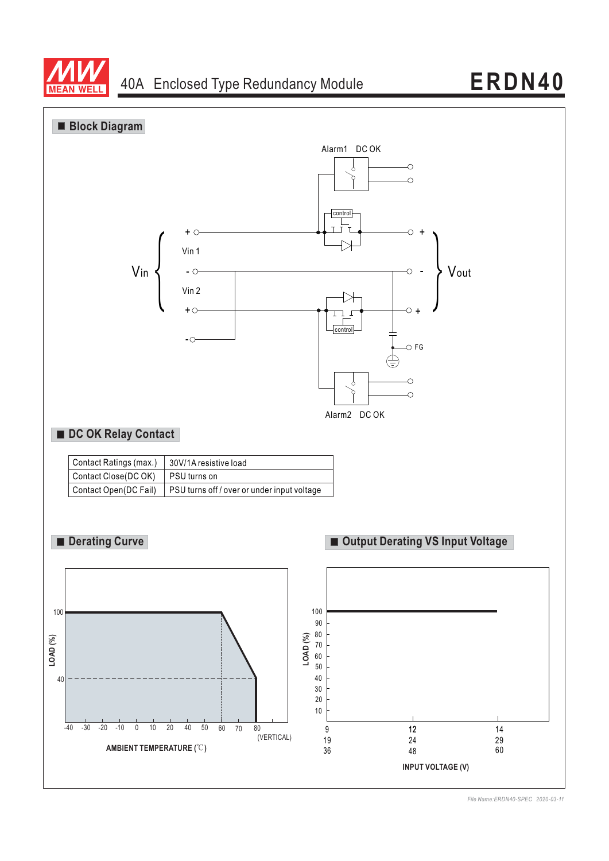



*File Name:ERDN40-SPEC 2020-03-11*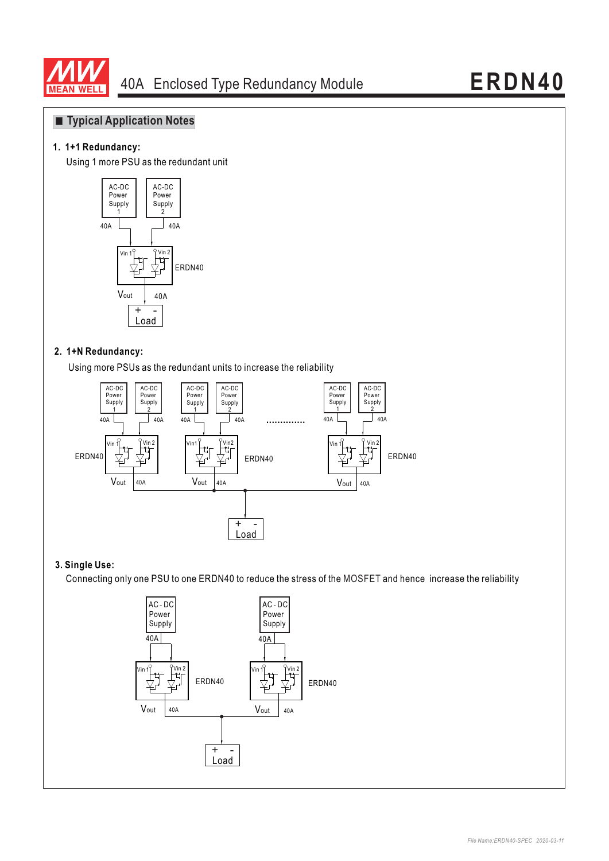

## **Typical Application Notes**

### **1. 1+1 Redundancy:**

Using 1 more PSU as the redundant unit



#### **2. 1+N Redundancy:**

Using more PSUs as the redundant units to increase the reliability



### **3. Single Use:**

Connecting only one PSU to one ERDN40 to reduce the stress of the MOSFET and hence increase the reliability